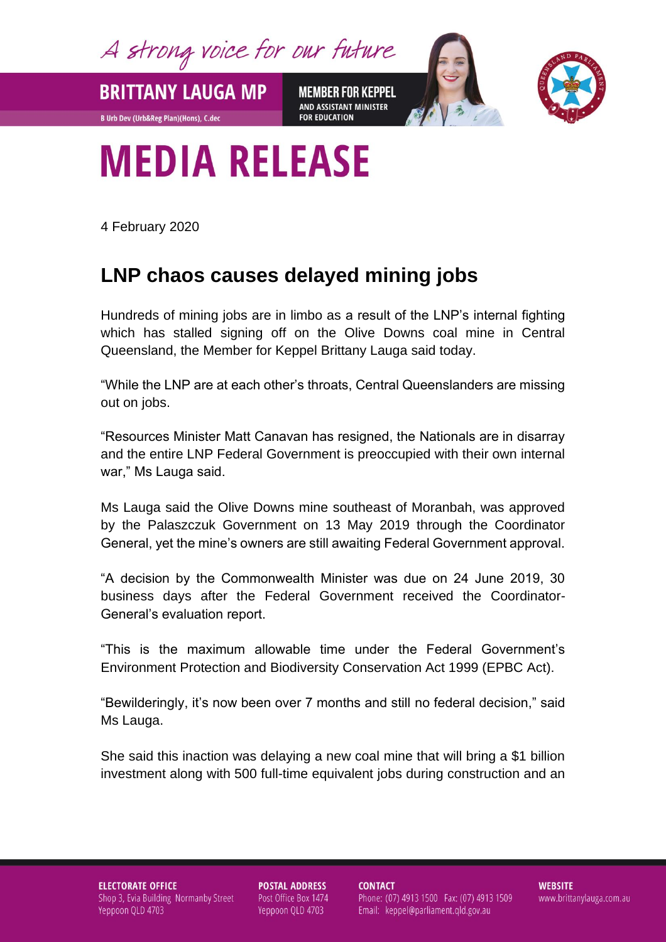A strong voice for our future

**MEMBER FOR KEPPEL** AND ASSISTANT MINISTER **FOR EDUCATION** 



## **MEDIA RELEASE**

4 February 2020

**BRITTANY LAUGA MP** 

**B Urb Dev (Urb&Reg Plan)(Hons), C.dec** 

## **LNP chaos causes delayed mining jobs**

Hundreds of mining jobs are in limbo as a result of the LNP's internal fighting which has stalled signing off on the Olive Downs coal mine in Central Queensland, the Member for Keppel Brittany Lauga said today.

"While the LNP are at each other's throats, Central Queenslanders are missing out on jobs.

"Resources Minister Matt Canavan has resigned, the Nationals are in disarray and the entire LNP Federal Government is preoccupied with their own internal war," Ms Lauga said.

Ms Lauga said the Olive Downs mine southeast of Moranbah, was approved by the Palaszczuk Government on 13 May 2019 through the Coordinator General, yet the mine's owners are still awaiting Federal Government approval.

"A decision by the Commonwealth Minister was due on 24 June 2019, 30 business days after the Federal Government received the Coordinator-General's evaluation report.

"This is the maximum allowable time under the Federal Government's Environment Protection and Biodiversity Conservation Act 1999 (EPBC Act).

"Bewilderingly, it's now been over 7 months and still no federal decision," said Ms Lauga.

She said this inaction was delaying a new coal mine that will bring a \$1 billion investment along with 500 full-time equivalent jobs during construction and an

**ELECTORATE OFFICE** Shop 3, Evia Building Normanby Street Yeppoon QLD 4703

**POSTAL ADDRESS** Post Office Box 1474 Yeppoon QLD 4703

**CONTACT** Phone: (07) 4913 1500 Fax: (07) 4913 1509 Email: keppel@parliament.qld.gov.au

**WEBSITE** www.brittanylauga.com.au